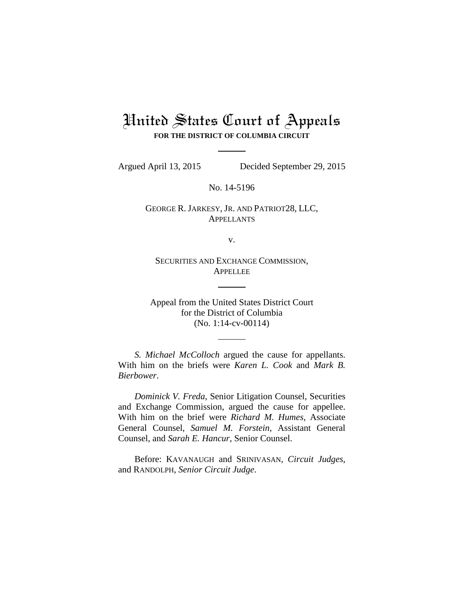# United States Court of Appeals **FOR THE DISTRICT OF COLUMBIA CIRCUIT**

Argued April 13, 2015 Decided September 29, 2015

No. 14-5196

GEORGE R. JARKESY, JR. AND PATRIOT28, LLC, **APPELLANTS** 

v.

SECURITIES AND EXCHANGE COMMISSION, **APPELLEE** 

Appeal from the United States District Court for the District of Columbia (No. 1:14-cv-00114)

*S. Michael McColloch* argued the cause for appellants. With him on the briefs were *Karen L. Cook* and *Mark B. Bierbower*.

*Dominick V. Freda*, Senior Litigation Counsel, Securities and Exchange Commission, argued the cause for appellee. With him on the brief were *Richard M. Humes*, Associate General Counsel, *Samuel M. Forstein*, Assistant General Counsel, and *Sarah E. Hancur*, Senior Counsel.

Before: KAVANAUGH and SRINIVASAN, *Circuit Judges*, and RANDOLPH, *Senior Circuit Judge*.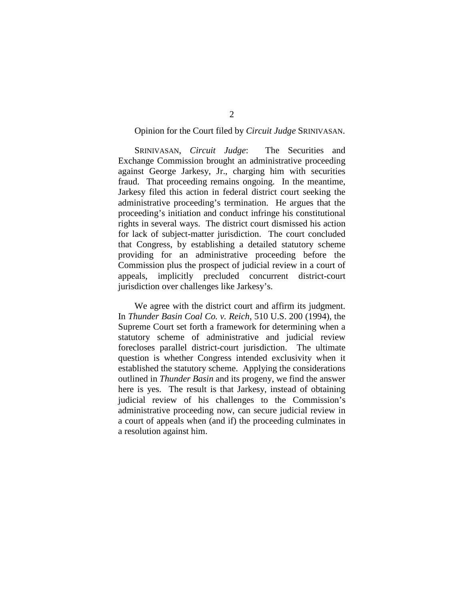## Opinion for the Court filed by *Circuit Judge* SRINIVASAN.

SRINIVASAN, *Circuit Judge*: The Securities and Exchange Commission brought an administrative proceeding against George Jarkesy, Jr., charging him with securities fraud. That proceeding remains ongoing. In the meantime, Jarkesy filed this action in federal district court seeking the administrative proceeding's termination. He argues that the proceeding's initiation and conduct infringe his constitutional rights in several ways. The district court dismissed his action for lack of subject-matter jurisdiction. The court concluded that Congress, by establishing a detailed statutory scheme providing for an administrative proceeding before the Commission plus the prospect of judicial review in a court of appeals, implicitly precluded concurrent district-court jurisdiction over challenges like Jarkesy's.

We agree with the district court and affirm its judgment. In *Thunder Basin Coal Co. v. Reich*, 510 U.S. 200 (1994), the Supreme Court set forth a framework for determining when a statutory scheme of administrative and judicial review forecloses parallel district-court jurisdiction. The ultimate question is whether Congress intended exclusivity when it established the statutory scheme. Applying the considerations outlined in *Thunder Basin* and its progeny, we find the answer here is yes. The result is that Jarkesy, instead of obtaining judicial review of his challenges to the Commission's administrative proceeding now, can secure judicial review in a court of appeals when (and if) the proceeding culminates in a resolution against him.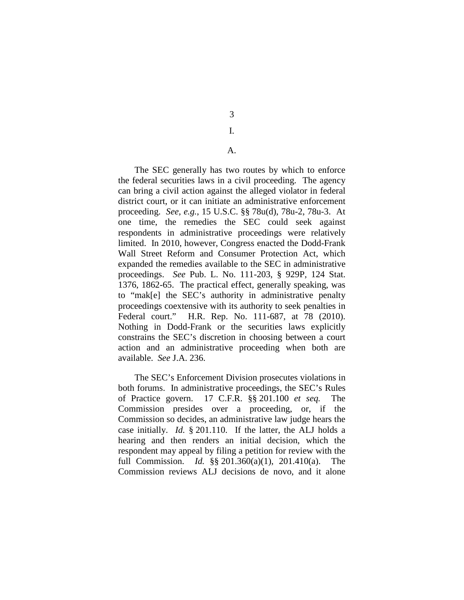3

# I.

# A.

The SEC generally has two routes by which to enforce the federal securities laws in a civil proceeding. The agency can bring a civil action against the alleged violator in federal district court, or it can initiate an administrative enforcement proceeding. *See, e.g.*, 15 U.S.C. §§ 78u(d), 78u-2, 78u-3. At one time, the remedies the SEC could seek against respondents in administrative proceedings were relatively limited. In 2010, however, Congress enacted the Dodd-Frank Wall Street Reform and Consumer Protection Act, which expanded the remedies available to the SEC in administrative proceedings. *See* Pub. L. No. 111-203, § 929P, 124 Stat. 1376, 1862-65. The practical effect, generally speaking, was to "mak[e] the SEC's authority in administrative penalty proceedings coextensive with its authority to seek penalties in Federal court." H.R. Rep. No. 111-687, at 78 (2010). Nothing in Dodd-Frank or the securities laws explicitly constrains the SEC's discretion in choosing between a court action and an administrative proceeding when both are available. *See* J.A. 236.

The SEC's Enforcement Division prosecutes violations in both forums. In administrative proceedings, the SEC's Rules of Practice govern. 17 C.F.R. §§ 201.100 *et seq.* The Commission presides over a proceeding, or, if the Commission so decides, an administrative law judge hears the case initially. *Id.* § 201.110. If the latter, the ALJ holds a hearing and then renders an initial decision, which the respondent may appeal by filing a petition for review with the full Commission. *Id.* §§ 201.360(a)(1), 201.410(a). The Commission reviews ALJ decisions de novo, and it alone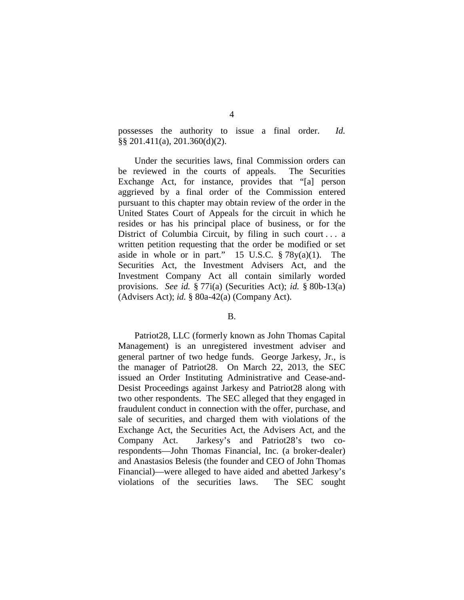possesses the authority to issue a final order. *Id.*  §§ 201.411(a), 201.360(d)(2).

Under the securities laws, final Commission orders can be reviewed in the courts of appeals. The Securities Exchange Act, for instance, provides that "[a] person aggrieved by a final order of the Commission entered pursuant to this chapter may obtain review of the order in the United States Court of Appeals for the circuit in which he resides or has his principal place of business, or for the District of Columbia Circuit, by filing in such court . . . a written petition requesting that the order be modified or set aside in whole or in part." 15 U.S.C.  $\S 78y(a)(1)$ . The Securities Act, the Investment Advisers Act, and the Investment Company Act all contain similarly worded provisions. *See id.* § 77i(a) (Securities Act); *id.* § 80b-13(a) (Advisers Act); *id.* § 80a-42(a) (Company Act).

#### B.

Patriot28, LLC (formerly known as John Thomas Capital Management) is an unregistered investment adviser and general partner of two hedge funds. George Jarkesy, Jr., is the manager of Patriot28. On March 22, 2013, the SEC issued an Order Instituting Administrative and Cease-and-Desist Proceedings against Jarkesy and Patriot28 along with two other respondents. The SEC alleged that they engaged in fraudulent conduct in connection with the offer, purchase, and sale of securities, and charged them with violations of the Exchange Act, the Securities Act, the Advisers Act, and the Company Act. Jarkesy's and Patriot28's two corespondents—John Thomas Financial, Inc. (a broker-dealer) and Anastasios Belesis (the founder and CEO of John Thomas Financial)—were alleged to have aided and abetted Jarkesy's violations of the securities laws. The SEC sought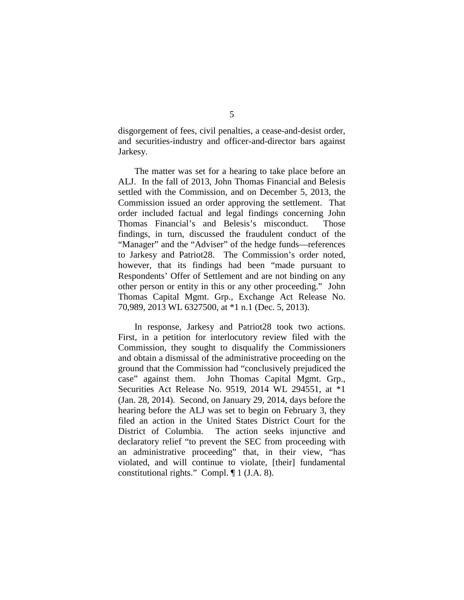disgorgement of fees, civil penalties, a cease-and-desist order, and securities-industry and officer-and-director bars against Jarkesy.

The matter was set for a hearing to take place before an ALJ. In the fall of 2013, John Thomas Financial and Belesis settled with the Commission, and on December 5, 2013, the Commission issued an order approving the settlement. That order included factual and legal findings concerning John Thomas Financial's and Belesis's misconduct. Those findings, in turn, discussed the fraudulent conduct of the "Manager" and the "Adviser" of the hedge funds—references to Jarkesy and Patriot28. The Commission's order noted, however, that its findings had been "made pursuant to Respondents' Offer of Settlement and are not binding on any other person or entity in this or any other proceeding." John Thomas Capital Mgmt. Grp., Exchange Act Release No. 70,989, 2013 WL 6327500, at \*1 n.1 (Dec. 5, 2013).

In response, Jarkesy and Patriot28 took two actions. First, in a petition for interlocutory review filed with the Commission, they sought to disqualify the Commissioners and obtain a dismissal of the administrative proceeding on the ground that the Commission had "conclusively prejudiced the case" against them. John Thomas Capital Mgmt. Grp., Securities Act Release No. 9519, 2014 WL 294551, at \*1 (Jan. 28, 2014). Second, on January 29, 2014, days before the hearing before the ALJ was set to begin on February 3, they filed an action in the United States District Court for the District of Columbia. The action seeks injunctive and declaratory relief "to prevent the SEC from proceeding with an administrative proceeding" that, in their view, "has violated, and will continue to violate, [their] fundamental constitutional rights." Compl. ¶ 1 (J.A. 8).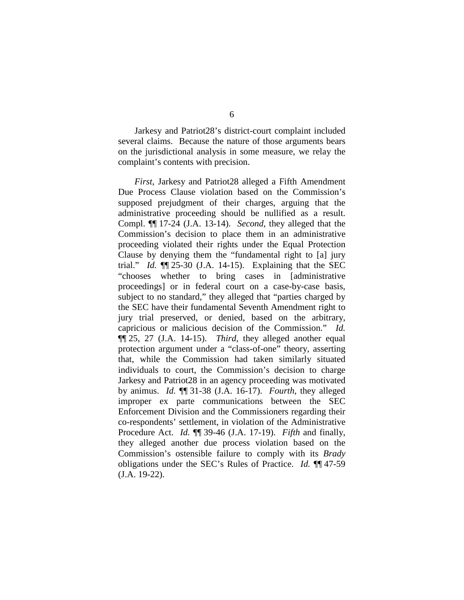Jarkesy and Patriot28's district-court complaint included several claims. Because the nature of those arguments bears on the jurisdictional analysis in some measure, we relay the complaint's contents with precision.

*First*, Jarkesy and Patriot28 alleged a Fifth Amendment Due Process Clause violation based on the Commission's supposed prejudgment of their charges, arguing that the administrative proceeding should be nullified as a result. Compl. ¶¶ 17-24 (J.A. 13-14). *Second*, they alleged that the Commission's decision to place them in an administrative proceeding violated their rights under the Equal Protection Clause by denying them the "fundamental right to [a] jury trial." *Id.* ¶¶ 25-30 (J.A. 14-15). Explaining that the SEC "chooses whether to bring cases in [administrative proceedings] or in federal court on a case-by-case basis, subject to no standard," they alleged that "parties charged by the SEC have their fundamental Seventh Amendment right to jury trial preserved, or denied, based on the arbitrary, capricious or malicious decision of the Commission." *Id.*  ¶¶ 25, 27 (J.A. 14-15). *Third*, they alleged another equal protection argument under a "class-of-one" theory, asserting that, while the Commission had taken similarly situated individuals to court, the Commission's decision to charge Jarkesy and Patriot28 in an agency proceeding was motivated by animus. *Id.* ¶¶ 31-38 (J.A. 16-17). *Fourth*, they alleged improper ex parte communications between the SEC Enforcement Division and the Commissioners regarding their co-respondents' settlement, in violation of the Administrative Procedure Act. *Id.* ¶¶ 39-46 (J.A. 17-19). *Fifth* and finally, they alleged another due process violation based on the Commission's ostensible failure to comply with its *Brady*  obligations under the SEC's Rules of Practice. *Id.* ¶¶ 47-59 (J.A. 19-22).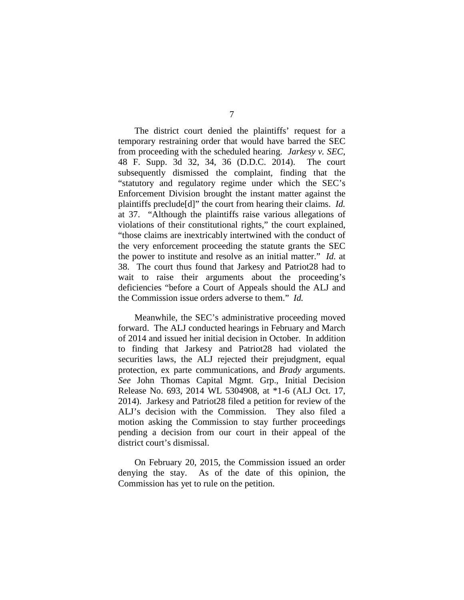The district court denied the plaintiffs' request for a temporary restraining order that would have barred the SEC from proceeding with the scheduled hearing. *Jarkesy v. SEC*, 48 F. Supp. 3d 32, 34, 36 (D.D.C. 2014). The court subsequently dismissed the complaint, finding that the "statutory and regulatory regime under which the SEC's Enforcement Division brought the instant matter against the plaintiffs preclude[d]" the court from hearing their claims. *Id.* at 37. "Although the plaintiffs raise various allegations of violations of their constitutional rights," the court explained, "those claims are inextricably intertwined with the conduct of the very enforcement proceeding the statute grants the SEC the power to institute and resolve as an initial matter." *Id.* at 38. The court thus found that Jarkesy and Patriot28 had to wait to raise their arguments about the proceeding's deficiencies "before a Court of Appeals should the ALJ and the Commission issue orders adverse to them." *Id.*

Meanwhile, the SEC's administrative proceeding moved forward. The ALJ conducted hearings in February and March of 2014 and issued her initial decision in October. In addition to finding that Jarkesy and Patriot28 had violated the securities laws, the ALJ rejected their prejudgment, equal protection, ex parte communications, and *Brady* arguments. *See* John Thomas Capital Mgmt. Grp., Initial Decision Release No. 693, 2014 WL 5304908, at \*1-6 (ALJ Oct. 17, 2014). Jarkesy and Patriot28 filed a petition for review of the ALJ's decision with the Commission. They also filed a motion asking the Commission to stay further proceedings pending a decision from our court in their appeal of the district court's dismissal.

On February 20, 2015, the Commission issued an order denying the stay. As of the date of this opinion, the Commission has yet to rule on the petition.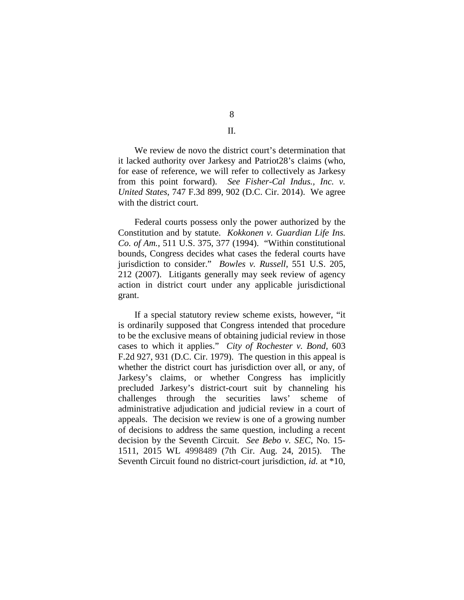8 II.

We review de novo the district court's determination that it lacked authority over Jarkesy and Patriot28's claims (who, for ease of reference, we will refer to collectively as Jarkesy from this point forward). *See Fisher-Cal Indus., Inc. v. United States*, 747 F.3d 899, 902 (D.C. Cir. 2014). We agree with the district court.

Federal courts possess only the power authorized by the Constitution and by statute. *Kokkonen v. Guardian Life Ins. Co. of Am.*, 511 U.S. 375, 377 (1994). "Within constitutional bounds, Congress decides what cases the federal courts have jurisdiction to consider." *Bowles v. Russell*, 551 U.S. 205, 212 (2007). Litigants generally may seek review of agency action in district court under any applicable jurisdictional grant.

If a special statutory review scheme exists, however, "it is ordinarily supposed that Congress intended that procedure to be the exclusive means of obtaining judicial review in those cases to which it applies." *City of Rochester v. Bond*, 603 F.2d 927, 931 (D.C. Cir. 1979). The question in this appeal is whether the district court has jurisdiction over all, or any, of Jarkesy's claims, or whether Congress has implicitly precluded Jarkesy's district-court suit by channeling his challenges through the securities laws' scheme of administrative adjudication and judicial review in a court of appeals. The decision we review is one of a growing number of decisions to address the same question, including a recent decision by the Seventh Circuit. *See Bebo v. SEC*, No. 15- 1511, 2015 WL 4998489 (7th Cir. Aug. 24, 2015). The Seventh Circuit found no district-court jurisdiction, *id.* at \*10,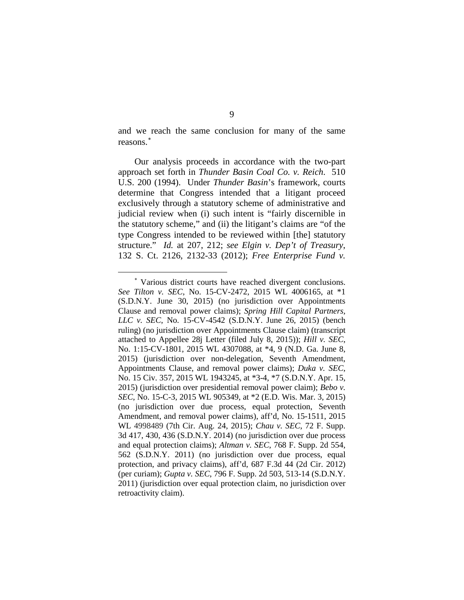and we reach the same conclusion for many of the same reasons.[∗](#page-8-0)

Our analysis proceeds in accordance with the two-part approach set forth in *Thunder Basin Coal Co. v. Reich*. 510 U.S. 200 (1994). Under *Thunder Basin*'s framework, courts determine that Congress intended that a litigant proceed exclusively through a statutory scheme of administrative and judicial review when (i) such intent is "fairly discernible in the statutory scheme," and (ii) the litigant's claims are "of the type Congress intended to be reviewed within [the] statutory structure." *Id.* at 207, 212; *see Elgin v. Dep't of Treasury*, 132 S. Ct. 2126, 2132-33 (2012); *Free Enterprise Fund v.* 

 $\overline{a}$ 

<span id="page-8-0"></span><sup>∗</sup> Various district courts have reached divergent conclusions. *See Tilton v. SEC*, No. 15-CV-2472, 2015 WL 4006165, at \*1 (S.D.N.Y. June 30, 2015) (no jurisdiction over Appointments Clause and removal power claims); *Spring Hill Capital Partners, LLC v. SEC*, No. 15-CV-4542 (S.D.N.Y. June 26, 2015) (bench ruling) (no jurisdiction over Appointments Clause claim) (transcript attached to Appellee 28j Letter (filed July 8, 2015)); *Hill v. SEC*, No. 1:15-CV-1801, 2015 WL 4307088, at \*4, 9 (N.D. Ga. June 8, 2015) (jurisdiction over non-delegation, Seventh Amendment, Appointments Clause, and removal power claims); *Duka v. SEC*, No. 15 Civ. 357, 2015 WL 1943245, at \*3-4, \*7 (S.D.N.Y. Apr. 15, 2015) (jurisdiction over presidential removal power claim); *Bebo v. SEC*, No. 15-C-3, 2015 WL 905349, at \*2 (E.D. Wis. Mar. 3, 2015) (no jurisdiction over due process, equal protection, Seventh Amendment, and removal power claims), aff'd, No. 15-1511, 2015 WL 4998489 (7th Cir. Aug. 24, 2015); *Chau v. SEC*, 72 F. Supp. 3d 417, 430, 436 (S.D.N.Y. 2014) (no jurisdiction over due process and equal protection claims); *Altman v. SEC*, 768 F. Supp. 2d 554, 562 (S.D.N.Y. 2011) (no jurisdiction over due process, equal protection, and privacy claims), aff'd, 687 F.3d 44 (2d Cir. 2012) (per curiam); *Gupta v. SEC*, 796 F. Supp. 2d 503, 513-14 (S.D.N.Y. 2011) (jurisdiction over equal protection claim, no jurisdiction over retroactivity claim).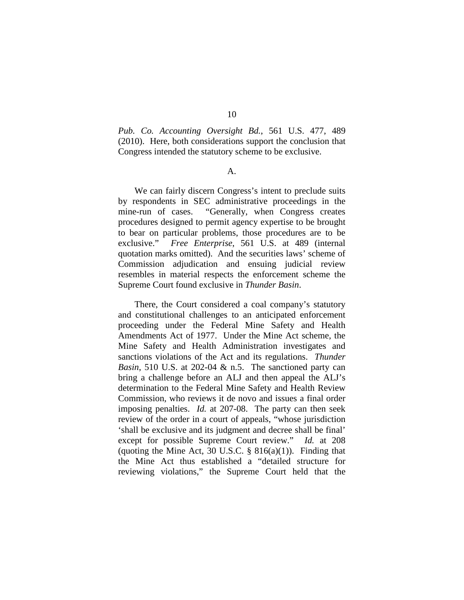10

*Pub. Co. Accounting Oversight Bd.*, 561 U.S. 477, 489 (2010). Here, both considerations support the conclusion that Congress intended the statutory scheme to be exclusive.

#### A.

We can fairly discern Congress's intent to preclude suits by respondents in SEC administrative proceedings in the mine-run of cases. "Generally, when Congress creates procedures designed to permit agency expertise to be brought to bear on particular problems, those procedures are to be exclusive." *Free Enterprise*, 561 U.S. at 489 (internal quotation marks omitted). And the securities laws' scheme of Commission adjudication and ensuing judicial review resembles in material respects the enforcement scheme the Supreme Court found exclusive in *Thunder Basin*.

There, the Court considered a coal company's statutory and constitutional challenges to an anticipated enforcement proceeding under the Federal Mine Safety and Health Amendments Act of 1977. Under the Mine Act scheme, the Mine Safety and Health Administration investigates and sanctions violations of the Act and its regulations. *Thunder Basin*, 510 U.S. at 202-04 & n.5. The sanctioned party can bring a challenge before an ALJ and then appeal the ALJ's determination to the Federal Mine Safety and Health Review Commission, who reviews it de novo and issues a final order imposing penalties. *Id.* at 207-08. The party can then seek review of the order in a court of appeals, "whose jurisdiction 'shall be exclusive and its judgment and decree shall be final' except for possible Supreme Court review." *Id.* at 208 (quoting the Mine Act, 30 U.S.C.  $\S$  816(a)(1)). Finding that the Mine Act thus established a "detailed structure for reviewing violations," the Supreme Court held that the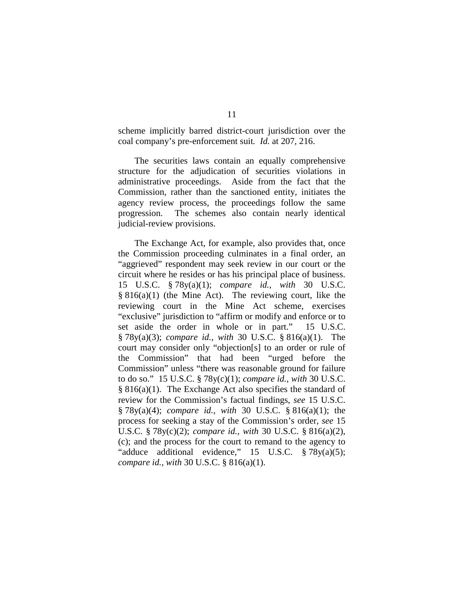scheme implicitly barred district-court jurisdiction over the coal company's pre-enforcement suit*. Id.* at 207, 216.

The securities laws contain an equally comprehensive structure for the adjudication of securities violations in administrative proceedings. Aside from the fact that the Commission, rather than the sanctioned entity, initiates the agency review process, the proceedings follow the same progression. The schemes also contain nearly identical judicial-review provisions.

The Exchange Act, for example, also provides that, once the Commission proceeding culminates in a final order, an "aggrieved" respondent may seek review in our court or the circuit where he resides or has his principal place of business. 15 U.S.C. § 78y(a)(1); *compare id.*, *with* 30 U.S.C. § 816(a)(1) (the Mine Act). The reviewing court, like the reviewing court in the Mine Act scheme, exercises "exclusive" jurisdiction to "affirm or modify and enforce or to set aside the order in whole or in part." 15 U.S.C. § 78y(a)(3); *compare id.*, *with* 30 U.S.C. § 816(a)(1). The court may consider only "objection[s] to an order or rule of the Commission" that had been "urged before the Commission" unless "there was reasonable ground for failure to do so." 15 U.S.C. § 78y(c)(1); *compare id.*, *with* 30 U.S.C. § 816(a)(1). The Exchange Act also specifies the standard of review for the Commission's factual findings, *see* 15 U.S.C. § 78y(a)(4); *compare id.*, *with* 30 U.S.C. § 816(a)(1); the process for seeking a stay of the Commission's order, *see* 15 U.S.C. § 78y(c)(2); *compare id.*, *with* 30 U.S.C. § 816(a)(2), (c); and the process for the court to remand to the agency to "adduce additional evidence," 15 U.S.C. § 78y(a)(5); *compare id.*, *with* 30 U.S.C. § 816(a)(1).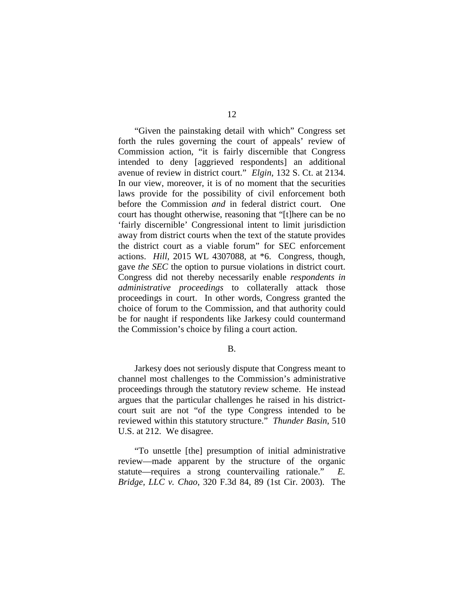"Given the painstaking detail with which" Congress set forth the rules governing the court of appeals' review of Commission action, "it is fairly discernible that Congress intended to deny [aggrieved respondents] an additional avenue of review in district court." *Elgin*, 132 S. Ct. at 2134. In our view, moreover, it is of no moment that the securities laws provide for the possibility of civil enforcement both before the Commission *and* in federal district court. One court has thought otherwise, reasoning that "[t]here can be no 'fairly discernible' Congressional intent to limit jurisdiction away from district courts when the text of the statute provides the district court as a viable forum" for SEC enforcement actions. *Hill*, 2015 WL 4307088, at \*6. Congress, though, gave *the SEC* the option to pursue violations in district court. Congress did not thereby necessarily enable *respondents in administrative proceedings* to collaterally attack those proceedings in court. In other words, Congress granted the choice of forum to the Commission, and that authority could be for naught if respondents like Jarkesy could countermand the Commission's choice by filing a court action.

B.

Jarkesy does not seriously dispute that Congress meant to channel most challenges to the Commission's administrative proceedings through the statutory review scheme.He instead argues that the particular challenges he raised in his districtcourt suit are not "of the type Congress intended to be reviewed within this statutory structure." *Thunder Basin*, 510 U.S. at 212. We disagree.

"To unsettle [the] presumption of initial administrative review—made apparent by the structure of the organic statute—requires a strong countervailing rationale." *E. Bridge, LLC v. Chao*, 320 F.3d 84, 89 (1st Cir. 2003). The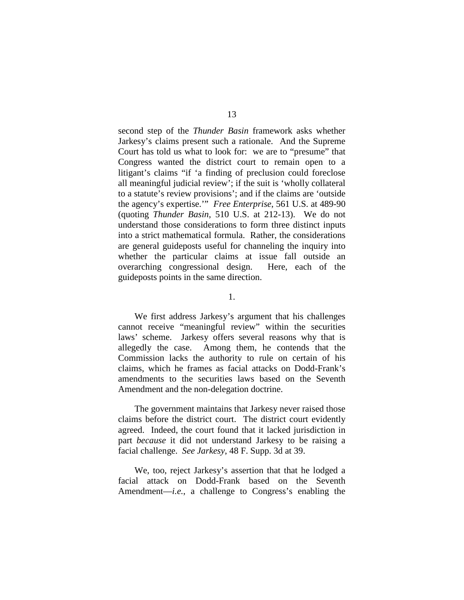second step of the *Thunder Basin* framework asks whether Jarkesy's claims present such a rationale. And the Supreme Court has told us what to look for: we are to "presume" that Congress wanted the district court to remain open to a litigant's claims "if 'a finding of preclusion could foreclose all meaningful judicial review'; if the suit is 'wholly collateral to a statute's review provisions'; and if the claims are 'outside the agency's expertise.'" *Free Enterprise*, 561 U.S. at 489-90 (quoting *Thunder Basin*, 510 U.S. at 212-13). We do not understand those considerations to form three distinct inputs into a strict mathematical formula. Rather, the considerations are general guideposts useful for channeling the inquiry into whether the particular claims at issue fall outside an overarching congressional design. Here, each of the guideposts points in the same direction.

1.

We first address Jarkesy's argument that his challenges cannot receive "meaningful review" within the securities laws' scheme. Jarkesy offers several reasons why that is allegedly the case. Among them, he contends that the Commission lacks the authority to rule on certain of his claims, which he frames as facial attacks on Dodd-Frank's amendments to the securities laws based on the Seventh Amendment and the non-delegation doctrine.

The government maintains that Jarkesy never raised those claims before the district court. The district court evidently agreed. Indeed, the court found that it lacked jurisdiction in part *because* it did not understand Jarkesy to be raising a facial challenge. *See Jarkesy*, 48 F. Supp. 3d at 39.

We, too, reject Jarkesy's assertion that that he lodged a facial attack on Dodd-Frank based on the Seventh Amendment—*i.e.*, a challenge to Congress's enabling the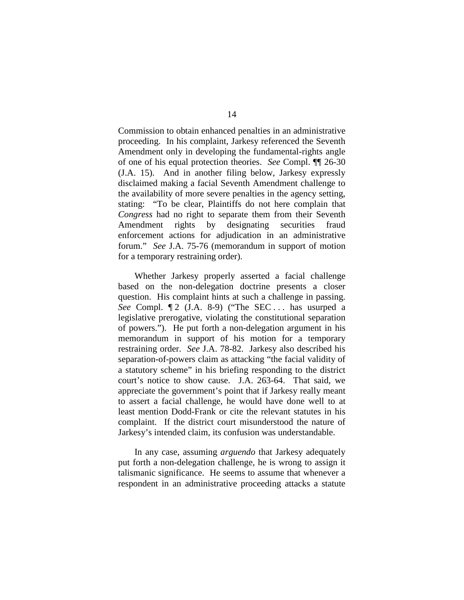Commission to obtain enhanced penalties in an administrative proceeding. In his complaint, Jarkesy referenced the Seventh Amendment only in developing the fundamental-rights angle of one of his equal protection theories. *See* Compl. ¶¶ 26-30 (J.A. 15). And in another filing below, Jarkesy expressly disclaimed making a facial Seventh Amendment challenge to the availability of more severe penalties in the agency setting, stating: "To be clear, Plaintiffs do not here complain that *Congress* had no right to separate them from their Seventh Amendment rights by designating securities fraud enforcement actions for adjudication in an administrative forum." *See* J.A. 75-76 (memorandum in support of motion for a temporary restraining order).

Whether Jarkesy properly asserted a facial challenge based on the non-delegation doctrine presents a closer question. His complaint hints at such a challenge in passing. *See* Compl.  $\lceil 2 \rceil$  (J.A. 8-9) ("The SEC ... has usurped a legislative prerogative, violating the constitutional separation of powers."). He put forth a non-delegation argument in his memorandum in support of his motion for a temporary restraining order. *See* J.A. 78-82. Jarkesy also described his separation-of-powers claim as attacking "the facial validity of a statutory scheme" in his briefing responding to the district court's notice to show cause. J.A. 263-64. That said, we appreciate the government's point that if Jarkesy really meant to assert a facial challenge, he would have done well to at least mention Dodd-Frank or cite the relevant statutes in his complaint. If the district court misunderstood the nature of Jarkesy's intended claim, its confusion was understandable.

In any case, assuming *arguendo* that Jarkesy adequately put forth a non-delegation challenge, he is wrong to assign it talismanic significance. He seems to assume that whenever a respondent in an administrative proceeding attacks a statute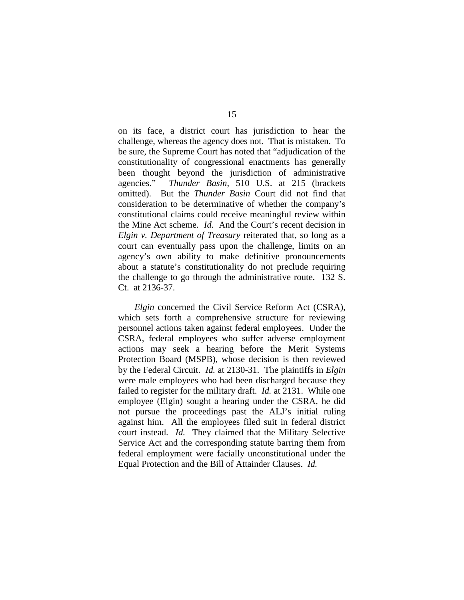on its face, a district court has jurisdiction to hear the challenge, whereas the agency does not. That is mistaken. To be sure, the Supreme Court has noted that "adjudication of the constitutionality of congressional enactments has generally been thought beyond the jurisdiction of administrative agencies." *Thunder Basin*, 510 U.S. at 215 (brackets omitted). But the *Thunder Basin* Court did not find that consideration to be determinative of whether the company's constitutional claims could receive meaningful review within the Mine Act scheme. *Id.* And the Court's recent decision in *Elgin v. Department of Treasury* reiterated that, so long as a court can eventually pass upon the challenge, limits on an agency's own ability to make definitive pronouncements about a statute's constitutionality do not preclude requiring the challenge to go through the administrative route. 132 S. Ct. at 2136-37.

*Elgin* concerned the Civil Service Reform Act (CSRA), which sets forth a comprehensive structure for reviewing personnel actions taken against federal employees. Under the CSRA, federal employees who suffer adverse employment actions may seek a hearing before the Merit Systems Protection Board (MSPB), whose decision is then reviewed by the Federal Circuit. *Id.* at 2130-31. The plaintiffs in *Elgin*  were male employees who had been discharged because they failed to register for the military draft. *Id.* at 2131. While one employee (Elgin) sought a hearing under the CSRA, he did not pursue the proceedings past the ALJ's initial ruling against him. All the employees filed suit in federal district court instead. *Id.* They claimed that the Military Selective Service Act and the corresponding statute barring them from federal employment were facially unconstitutional under the Equal Protection and the Bill of Attainder Clauses. *Id.*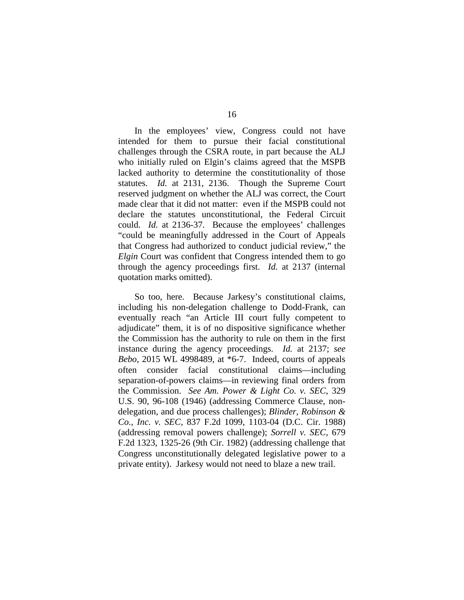In the employees' view, Congress could not have intended for them to pursue their facial constitutional challenges through the CSRA route, in part because the ALJ who initially ruled on Elgin's claims agreed that the MSPB lacked authority to determine the constitutionality of those statutes. *Id.* at 2131, 2136. Though the Supreme Court reserved judgment on whether the ALJ was correct, the Court made clear that it did not matter: even if the MSPB could not declare the statutes unconstitutional, the Federal Circuit could. *Id.* at 2136-37. Because the employees' challenges "could be meaningfully addressed in the Court of Appeals that Congress had authorized to conduct judicial review," the *Elgin* Court was confident that Congress intended them to go through the agency proceedings first. *Id.* at 2137 (internal quotation marks omitted).

So too, here. Because Jarkesy's constitutional claims, including his non-delegation challenge to Dodd-Frank, can eventually reach "an Article III court fully competent to adjudicate" them, it is of no dispositive significance whether the Commission has the authority to rule on them in the first instance during the agency proceedings. *Id.* at 2137; *see Bebo*, 2015 WL 4998489, at \*6-7. Indeed, courts of appeals often consider facial constitutional claims—including separation-of-powers claims—in reviewing final orders from the Commission. *See Am. Power & Light Co. v. SEC*, 329 U.S. 90, 96-108 (1946) (addressing Commerce Clause, nondelegation, and due process challenges); *Blinder, Robinson & Co., Inc. v. SEC*, 837 F.2d 1099, 1103-04 (D.C. Cir. 1988) (addressing removal powers challenge); *Sorrell v. SEC*, 679 F.2d 1323, 1325-26 (9th Cir. 1982) (addressing challenge that Congress unconstitutionally delegated legislative power to a private entity). Jarkesy would not need to blaze a new trail.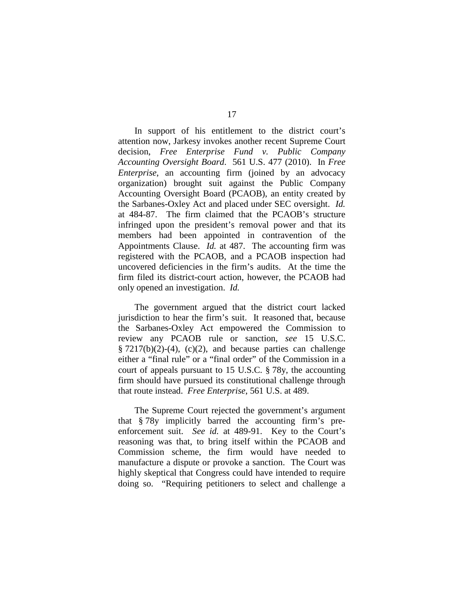In support of his entitlement to the district court's attention now, Jarkesy invokes another recent Supreme Court decision, *Free Enterprise Fund v. Public Company Accounting Oversight Board*. 561 U.S. 477 (2010). In *Free Enterprise*, an accounting firm (joined by an advocacy organization) brought suit against the Public Company Accounting Oversight Board (PCAOB), an entity created by the Sarbanes-Oxley Act and placed under SEC oversight. *Id.*  at 484-87. The firm claimed that the PCAOB's structure infringed upon the president's removal power and that its members had been appointed in contravention of the Appointments Clause. *Id.* at 487. The accounting firm was registered with the PCAOB, and a PCAOB inspection had uncovered deficiencies in the firm's audits. At the time the firm filed its district-court action, however, the PCAOB had only opened an investigation. *Id.* 

The government argued that the district court lacked jurisdiction to hear the firm's suit. It reasoned that, because the Sarbanes-Oxley Act empowered the Commission to review any PCAOB rule or sanction, *see* 15 U.S.C.  $\S 7217(b)(2)-(4)$ , (c)(2), and because parties can challenge either a "final rule" or a "final order" of the Commission in a court of appeals pursuant to 15 U.S.C. § 78y, the accounting firm should have pursued its constitutional challenge through that route instead. *Free Enterprise*, 561 U.S. at 489.

The Supreme Court rejected the government's argument that § 78y implicitly barred the accounting firm's preenforcement suit. *See id.* at 489-91. Key to the Court's reasoning was that, to bring itself within the PCAOB and Commission scheme, the firm would have needed to manufacture a dispute or provoke a sanction. The Court was highly skeptical that Congress could have intended to require doing so. "Requiring petitioners to select and challenge a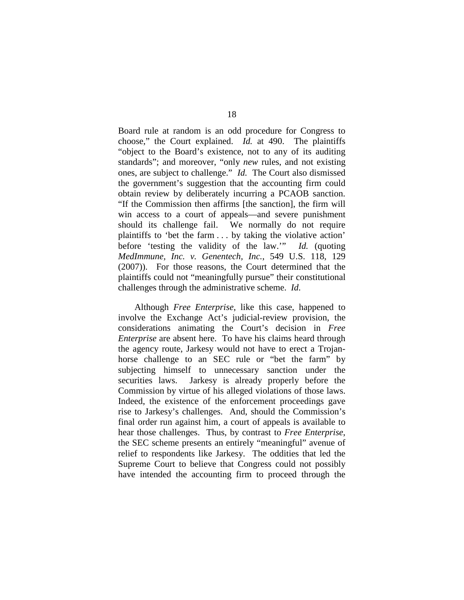Board rule at random is an odd procedure for Congress to choose," the Court explained. *Id.* at 490. The plaintiffs "object to the Board's existence, not to any of its auditing standards"; and moreover, "only *new* rules, and not existing ones, are subject to challenge." *Id.* The Court also dismissed the government's suggestion that the accounting firm could obtain review by deliberately incurring a PCAOB sanction. "If the Commission then affirms [the sanction], the firm will win access to a court of appeals—and severe punishment should its challenge fail. We normally do not require plaintiffs to 'bet the farm . . . by taking the violative action' before 'testing the validity of the law.'" *Id.* (quoting *MedImmune, Inc. v. Genentech, Inc.*, 549 U.S. 118, 129 (2007)). For those reasons, the Court determined that the plaintiffs could not "meaningfully pursue" their constitutional challenges through the administrative scheme. *Id.*

Although *Free Enterprise*, like this case, happened to involve the Exchange Act's judicial-review provision, the considerations animating the Court's decision in *Free Enterprise* are absent here. To have his claims heard through the agency route, Jarkesy would not have to erect a Trojanhorse challenge to an SEC rule or "bet the farm" by subjecting himself to unnecessary sanction under the securities laws. Jarkesy is already properly before the Commission by virtue of his alleged violations of those laws. Indeed, the existence of the enforcement proceedings gave rise to Jarkesy's challenges. And, should the Commission's final order run against him, a court of appeals is available to hear those challenges. Thus, by contrast to *Free Enterprise*, the SEC scheme presents an entirely "meaningful" avenue of relief to respondents like Jarkesy. The oddities that led the Supreme Court to believe that Congress could not possibly have intended the accounting firm to proceed through the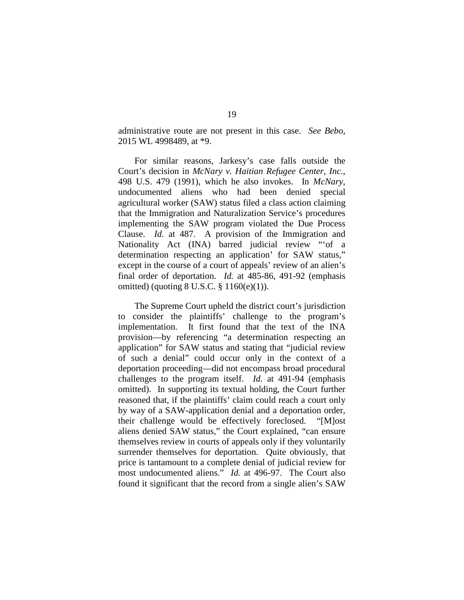administrative route are not present in this case. *See Bebo*, 2015 WL 4998489, at \*9.

For similar reasons, Jarkesy's case falls outside the Court's decision in *McNary v. Haitian Refugee Center, Inc.*, 498 U.S. 479 (1991), which he also invokes. In *McNary*, undocumented aliens who had been denied special agricultural worker (SAW) status filed a class action claiming that the Immigration and Naturalization Service's procedures implementing the SAW program violated the Due Process Clause. *Id.* at 487. A provision of the Immigration and Nationality Act (INA) barred judicial review "'of a determination respecting an application' for SAW status," except in the course of a court of appeals' review of an alien's final order of deportation. *Id.* at 485-86, 491-92 (emphasis omitted) (quoting 8 U.S.C. § 1160(e)(1)).

The Supreme Court upheld the district court's jurisdiction to consider the plaintiffs' challenge to the program's implementation. It first found that the text of the INA provision—by referencing "a determination respecting an application" for SAW status and stating that "judicial review of such a denial" could occur only in the context of a deportation proceeding—did not encompass broad procedural challenges to the program itself. *Id.* at 491-94 (emphasis omitted). In supporting its textual holding, the Court further reasoned that, if the plaintiffs' claim could reach a court only by way of a SAW-application denial and a deportation order, their challenge would be effectively foreclosed. "[M]ost aliens denied SAW status," the Court explained, "can ensure themselves review in courts of appeals only if they voluntarily surrender themselves for deportation. Quite obviously, that price is tantamount to a complete denial of judicial review for most undocumented aliens." *Id.* at 496-97. The Court also found it significant that the record from a single alien's SAW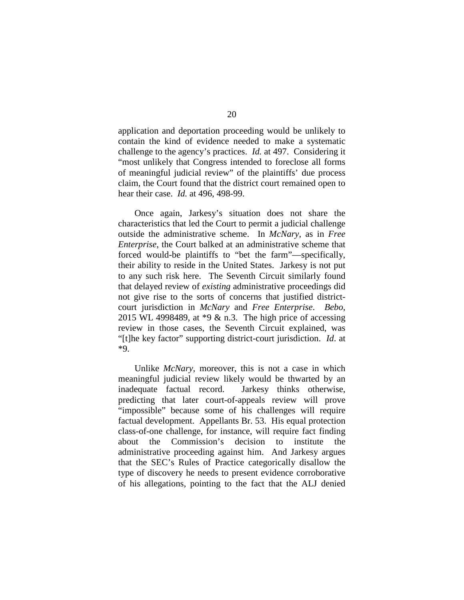application and deportation proceeding would be unlikely to contain the kind of evidence needed to make a systematic challenge to the agency's practices. *Id.* at 497. Considering it "most unlikely that Congress intended to foreclose all forms of meaningful judicial review" of the plaintiffs' due process claim, the Court found that the district court remained open to hear their case. *Id.* at 496, 498-99.

Once again, Jarkesy's situation does not share the characteristics that led the Court to permit a judicial challenge outside the administrative scheme. In *McNary*, as in *Free Enterprise*, the Court balked at an administrative scheme that forced would-be plaintiffs to "bet the farm"—specifically, their ability to reside in the United States. Jarkesy is not put to any such risk here. The Seventh Circuit similarly found that delayed review of *existing* administrative proceedings did not give rise to the sorts of concerns that justified districtcourt jurisdiction in *McNary* and *Free Enterprise*. *Bebo*, 2015 WL 4998489, at \*9 & n.3. The high price of accessing review in those cases, the Seventh Circuit explained, was "[t]he key factor" supporting district-court jurisdiction. *Id*. at \*9.

Unlike *McNary*, moreover, this is not a case in which meaningful judicial review likely would be thwarted by an inadequate factual record. Jarkesy thinks otherwise, predicting that later court-of-appeals review will prove "impossible" because some of his challenges will require factual development. Appellants Br. 53. His equal protection class-of-one challenge, for instance, will require fact finding about the Commission's decision to institute the administrative proceeding against him. And Jarkesy argues that the SEC's Rules of Practice categorically disallow the type of discovery he needs to present evidence corroborative of his allegations, pointing to the fact that the ALJ denied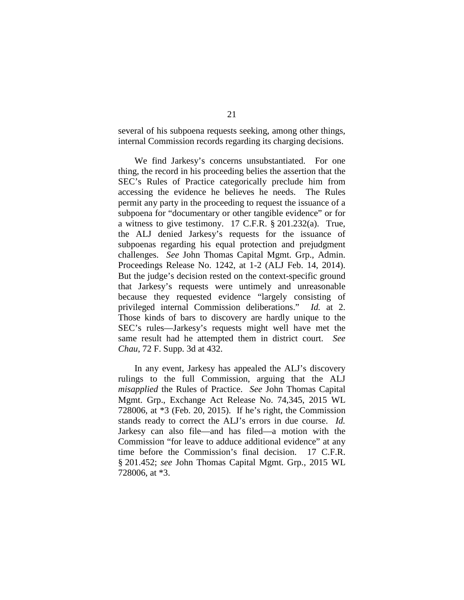several of his subpoena requests seeking, among other things, internal Commission records regarding its charging decisions.

We find Jarkesy's concerns unsubstantiated. For one thing, the record in his proceeding belies the assertion that the SEC's Rules of Practice categorically preclude him from accessing the evidence he believes he needs. The Rules permit any party in the proceeding to request the issuance of a subpoena for "documentary or other tangible evidence" or for a witness to give testimony. 17 C.F.R. § 201.232(a). True, the ALJ denied Jarkesy's requests for the issuance of subpoenas regarding his equal protection and prejudgment challenges. *See* John Thomas Capital Mgmt. Grp., Admin. Proceedings Release No. 1242, at 1-2 (ALJ Feb. 14, 2014). But the judge's decision rested on the context-specific ground that Jarkesy's requests were untimely and unreasonable because they requested evidence "largely consisting of privileged internal Commission deliberations." *Id.* at 2. Those kinds of bars to discovery are hardly unique to the SEC's rules—Jarkesy's requests might well have met the same result had he attempted them in district court. *See Chau*, 72 F. Supp. 3d at 432.

In any event, Jarkesy has appealed the ALJ's discovery rulings to the full Commission, arguing that the ALJ *misapplied* the Rules of Practice. *See* John Thomas Capital Mgmt. Grp., Exchange Act Release No. 74,345, 2015 WL 728006, at \*3 (Feb. 20, 2015). If he's right, the Commission stands ready to correct the ALJ's errors in due course. *Id.*  Jarkesy can also file—and has filed—a motion with the Commission "for leave to adduce additional evidence" at any time before the Commission's final decision. 17 C.F.R. § 201.452; *see* John Thomas Capital Mgmt. Grp., 2015 WL 728006, at \*3.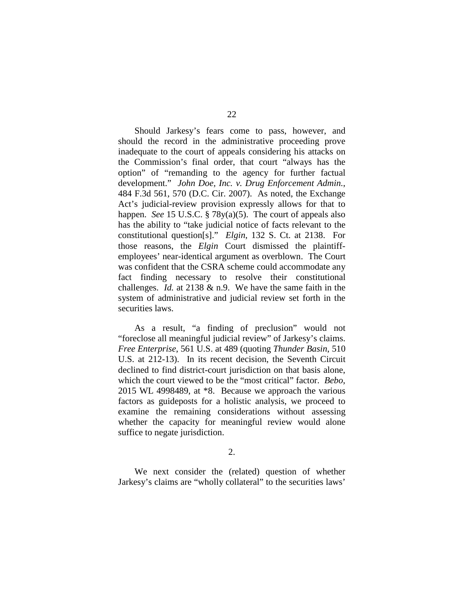Should Jarkesy's fears come to pass, however, and should the record in the administrative proceeding prove inadequate to the court of appeals considering his attacks on the Commission's final order, that court "always has the option" of "remanding to the agency for further factual development." *John Doe, Inc. v. Drug Enforcement Admin.*, 484 F.3d 561, 570 (D.C. Cir. 2007). As noted, the Exchange Act's judicial-review provision expressly allows for that to happen. *See* 15 U.S.C. § 78y(a)(5). The court of appeals also has the ability to "take judicial notice of facts relevant to the constitutional question[s]." *Elgin*, 132 S. Ct. at 2138. For those reasons, the *Elgin* Court dismissed the plaintiffemployees' near-identical argument as overblown. The Court was confident that the CSRA scheme could accommodate any fact finding necessary to resolve their constitutional challenges. *Id.* at 2138 & n.9. We have the same faith in the system of administrative and judicial review set forth in the securities laws.

As a result, "a finding of preclusion" would not "foreclose all meaningful judicial review" of Jarkesy's claims. *Free Enterprise*, 561 U.S. at 489 (quoting *Thunder Basin*, 510 U.S. at 212-13). In its recent decision, the Seventh Circuit declined to find district-court jurisdiction on that basis alone, which the court viewed to be the "most critical" factor. *Bebo*, 2015 WL 4998489, at \*8. Because we approach the various factors as guideposts for a holistic analysis, we proceed to examine the remaining considerations without assessing whether the capacity for meaningful review would alone suffice to negate jurisdiction.

2.

We next consider the (related) question of whether Jarkesy's claims are "wholly collateral" to the securities laws'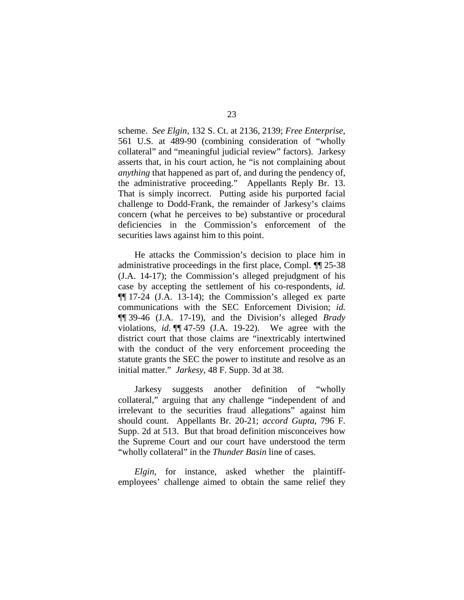scheme. *See Elgin,* 132 S. Ct. at 2136, 2139; *Free Enterprise*, 561 U.S. at 489-90 (combining consideration of "wholly collateral" and "meaningful judicial review" factors). Jarkesy asserts that, in his court action, he "is not complaining about *anything* that happened as part of, and during the pendency of, the administrative proceeding." Appellants Reply Br. 13. That is simply incorrect. Putting aside his purported facial challenge to Dodd-Frank, the remainder of Jarkesy's claims concern (what he perceives to be) substantive or procedural deficiencies in the Commission's enforcement of the securities laws against him to this point.

He attacks the Commission's decision to place him in administrative proceedings in the first place, Compl. ¶¶ 25-38 (J.A. 14-17); the Commission's alleged prejudgment of his case by accepting the settlement of his co-respondents, *id.* ¶¶ 17-24 (J.A. 13-14); the Commission's alleged ex parte communications with the SEC Enforcement Division; *id.* ¶¶ 39-46 (J.A. 17-19), and the Division's alleged *Brady*  violations, *id.* ¶¶ 47-59 (J.A. 19-22). We agree with the district court that those claims are "inextricably intertwined with the conduct of the very enforcement proceeding the statute grants the SEC the power to institute and resolve as an initial matter." *Jarkesy*, 48 F. Supp. 3d at 38.

Jarkesy suggests another definition of "wholly collateral," arguing that any challenge "independent of and irrelevant to the securities fraud allegations" against him should count. Appellants Br. 20-21; *accord Gupta*, 796 F. Supp. 2d at 513. But that broad definition misconceives how the Supreme Court and our court have understood the term "wholly collateral" in the *Thunder Basin* line of cases.

*Elgin*, for instance, asked whether the plaintiffemployees' challenge aimed to obtain the same relief they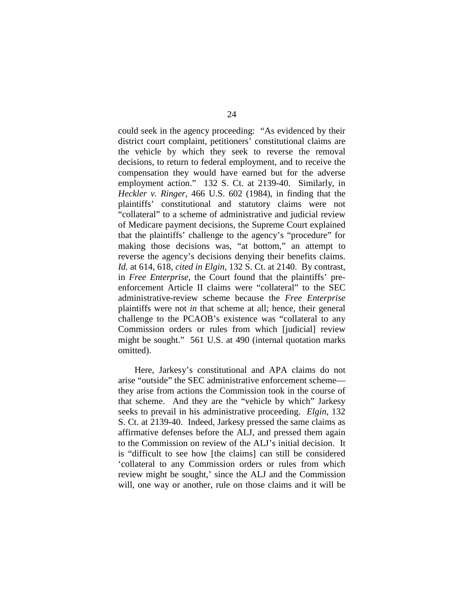could seek in the agency proceeding: "As evidenced by their district court complaint, petitioners' constitutional claims are the vehicle by which they seek to reverse the removal decisions, to return to federal employment, and to receive the compensation they would have earned but for the adverse employment action." 132 S. Ct. at 2139-40. Similarly, in *Heckler v. Ringer*, 466 U.S. 602 (1984), in finding that the plaintiffs' constitutional and statutory claims were not "collateral" to a scheme of administrative and judicial review of Medicare payment decisions, the Supreme Court explained that the plaintiffs' challenge to the agency's "procedure" for making those decisions was, "at bottom," an attempt to reverse the agency's decisions denying their benefits claims. *Id.* at 614, 618, *cited in Elgin*, 132 S. Ct. at 2140. By contrast, in *Free Enterprise*, the Court found that the plaintiffs' preenforcement Article II claims were "collateral" to the SEC administrative-review scheme because the *Free Enterprise*  plaintiffs were not *in* that scheme at all; hence, their general challenge to the PCAOB's existence was "collateral to any Commission orders or rules from which [judicial] review might be sought." 561 U.S. at 490 (internal quotation marks omitted).

Here, Jarkesy's constitutional and APA claims do not arise "outside" the SEC administrative enforcement scheme they arise from actions the Commission took in the course of that scheme. And they are the "vehicle by which" Jarkesy seeks to prevail in his administrative proceeding. *Elgin*, 132 S. Ct. at 2139-40. Indeed, Jarkesy pressed the same claims as affirmative defenses before the ALJ, and pressed them again to the Commission on review of the ALJ's initial decision. It is "difficult to see how [the claims] can still be considered 'collateral to any Commission orders or rules from which review might be sought,' since the ALJ and the Commission will, one way or another, rule on those claims and it will be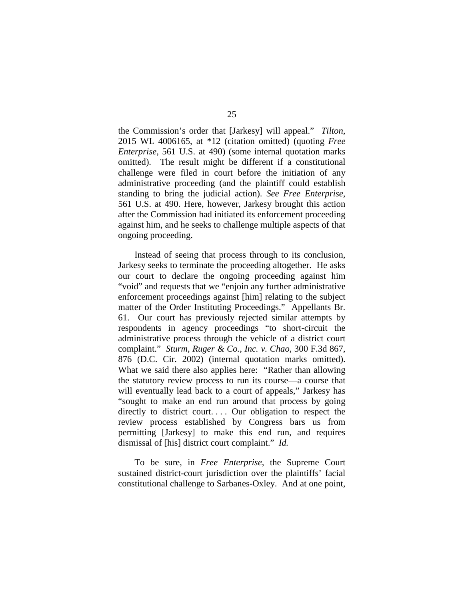the Commission's order that [Jarkesy] will appeal." *Tilton*, 2015 WL 4006165, at \*12 (citation omitted) (quoting *Free Enterprise*, 561 U.S. at 490) (some internal quotation marks omitted). The result might be different if a constitutional challenge were filed in court before the initiation of any administrative proceeding (and the plaintiff could establish standing to bring the judicial action). *See Free Enterprise*, 561 U.S. at 490. Here, however, Jarkesy brought this action after the Commission had initiated its enforcement proceeding against him, and he seeks to challenge multiple aspects of that ongoing proceeding.

Instead of seeing that process through to its conclusion, Jarkesy seeks to terminate the proceeding altogether. He asks our court to declare the ongoing proceeding against him "void" and requests that we "enjoin any further administrative enforcement proceedings against [him] relating to the subject matter of the Order Instituting Proceedings." Appellants Br. 61. Our court has previously rejected similar attempts by respondents in agency proceedings "to short-circuit the administrative process through the vehicle of a district court complaint." *Sturm, Ruger & Co., Inc. v. Chao*, 300 F.3d 867, 876 (D.C. Cir. 2002) (internal quotation marks omitted). What we said there also applies here: "Rather than allowing the statutory review process to run its course—a course that will eventually lead back to a court of appeals," Jarkesy has "sought to make an end run around that process by going directly to district court.... Our obligation to respect the review process established by Congress bars us from permitting [Jarkesy] to make this end run, and requires dismissal of [his] district court complaint." *Id.* 

To be sure, in *Free Enterprise*, the Supreme Court sustained district-court jurisdiction over the plaintiffs' facial constitutional challenge to Sarbanes-Oxley. And at one point,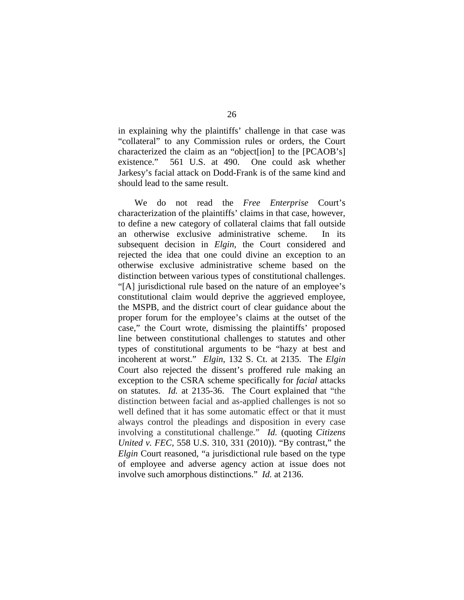in explaining why the plaintiffs' challenge in that case was "collateral" to any Commission rules or orders, the Court characterized the claim as an "object[ion] to the [PCAOB's] existence." 561 U.S. at 490. One could ask whether Jarkesy's facial attack on Dodd-Frank is of the same kind and should lead to the same result.

We do not read the *Free Enterprise* Court's characterization of the plaintiffs' claims in that case, however, to define a new category of collateral claims that fall outside an otherwise exclusive administrative scheme. In its subsequent decision in *Elgin*, the Court considered and rejected the idea that one could divine an exception to an otherwise exclusive administrative scheme based on the distinction between various types of constitutional challenges. "[A] jurisdictional rule based on the nature of an employee's constitutional claim would deprive the aggrieved employee, the MSPB, and the district court of clear guidance about the proper forum for the employee's claims at the outset of the case," the Court wrote, dismissing the plaintiffs' proposed line between constitutional challenges to statutes and other types of constitutional arguments to be "hazy at best and incoherent at worst." *Elgin*, 132 S. Ct. at 2135. The *Elgin*  Court also rejected the dissent's proffered rule making an exception to the CSRA scheme specifically for *facial* attacks on statutes. *Id.* at 2135-36.The Court explained that "the distinction between facial and as-applied challenges is not so well defined that it has some automatic effect or that it must always control the pleadings and disposition in every case involving a constitutional challenge." *Id.* (quoting *Citizens United v. FEC*, 558 U.S. 310, 331 (2010)). "By contrast," the *Elgin* Court reasoned, "a jurisdictional rule based on the type of employee and adverse agency action at issue does not involve such amorphous distinctions." *Id.* at 2136.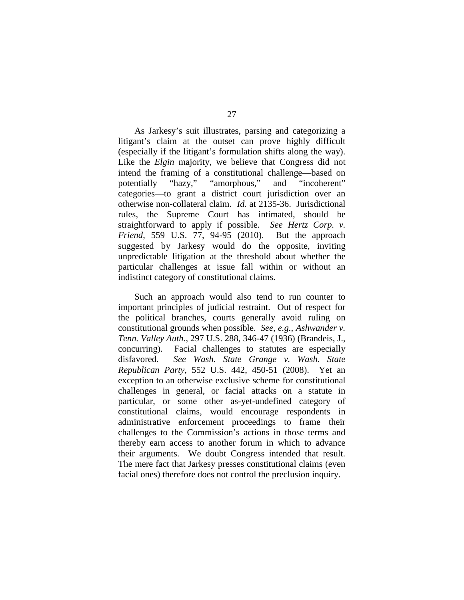As Jarkesy's suit illustrates, parsing and categorizing a litigant's claim at the outset can prove highly difficult (especially if the litigant's formulation shifts along the way). Like the *Elgin* majority, we believe that Congress did not intend the framing of a constitutional challenge—based on potentially "hazy," "amorphous," and "incoherent" categories—to grant a district court jurisdiction over an otherwise non-collateral claim. *Id.* at 2135-36. Jurisdictional rules, the Supreme Court has intimated, should be straightforward to apply if possible. *See Hertz Corp. v. Friend*, 559 U.S. 77, 94-95 (2010). But the approach suggested by Jarkesy would do the opposite, inviting unpredictable litigation at the threshold about whether the particular challenges at issue fall within or without an indistinct category of constitutional claims.

Such an approach would also tend to run counter to important principles of judicial restraint. Out of respect for the political branches, courts generally avoid ruling on constitutional grounds when possible. *See, e.g.*, *Ashwander v. Tenn. Valley Auth.*, 297 U.S. 288, 346-47 (1936) (Brandeis, J., concurring). Facial challenges to statutes are especially disfavored. *See Wash. State Grange v. Wash. State Republican Party*, 552 U.S. 442, 450-51 (2008). Yet an exception to an otherwise exclusive scheme for constitutional challenges in general, or facial attacks on a statute in particular, or some other as-yet-undefined category of constitutional claims, would encourage respondents in administrative enforcement proceedings to frame their challenges to the Commission's actions in those terms and thereby earn access to another forum in which to advance their arguments. We doubt Congress intended that result. The mere fact that Jarkesy presses constitutional claims (even facial ones) therefore does not control the preclusion inquiry.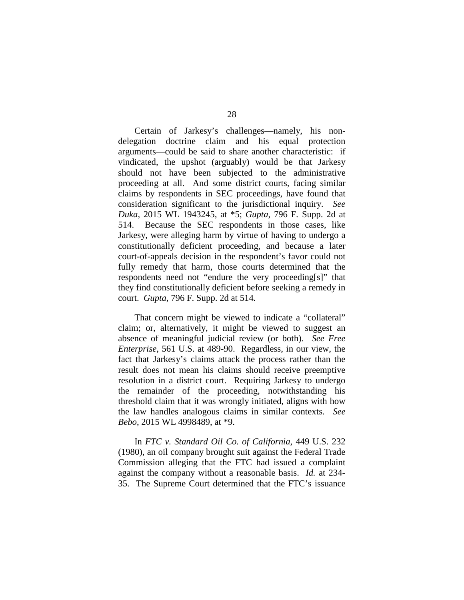Certain of Jarkesy's challenges—namely, his nondelegation doctrine claim and his equal protection arguments—could be said to share another characteristic: if vindicated, the upshot (arguably) would be that Jarkesy should not have been subjected to the administrative proceeding at all. And some district courts, facing similar claims by respondents in SEC proceedings, have found that consideration significant to the jurisdictional inquiry. *See Duka*, 2015 WL 1943245, at \*5; *Gupta*, 796 F. Supp. 2d at 514. Because the SEC respondents in those cases, like Jarkesy, were alleging harm by virtue of having to undergo a constitutionally deficient proceeding, and because a later court-of-appeals decision in the respondent's favor could not fully remedy that harm, those courts determined that the respondents need not "endure the very proceeding[s]" that they find constitutionally deficient before seeking a remedy in court. *Gupta*, 796 F. Supp. 2d at 514*.*

That concern might be viewed to indicate a "collateral" claim; or, alternatively, it might be viewed to suggest an absence of meaningful judicial review (or both). *See Free Enterprise*, 561 U.S. at 489-90.Regardless, in our view, the fact that Jarkesy's claims attack the process rather than the result does not mean his claims should receive preemptive resolution in a district court. Requiring Jarkesy to undergo the remainder of the proceeding, notwithstanding his threshold claim that it was wrongly initiated, aligns with how the law handles analogous claims in similar contexts. *See Bebo*, 2015 WL 4998489, at \*9.

In *FTC v. Standard Oil Co. of California*, 449 U.S. 232 (1980), an oil company brought suit against the Federal Trade Commission alleging that the FTC had issued a complaint against the company without a reasonable basis. *Id.* at 234- 35. The Supreme Court determined that the FTC's issuance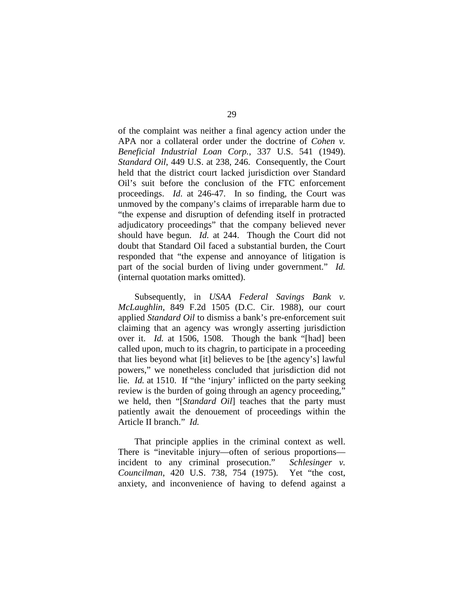of the complaint was neither a final agency action under the APA nor a collateral order under the doctrine of *Cohen v. Beneficial Industrial Loan Corp.*, 337 U.S. 541 (1949). *Standard Oil*, 449 U.S. at 238, 246. Consequently, the Court held that the district court lacked jurisdiction over Standard Oil's suit before the conclusion of the FTC enforcement proceedings. *Id*. at 246-47. In so finding, the Court was unmoved by the company's claims of irreparable harm due to "the expense and disruption of defending itself in protracted adjudicatory proceedings" that the company believed never should have begun. *Id.* at 244. Though the Court did not doubt that Standard Oil faced a substantial burden, the Court responded that "the expense and annoyance of litigation is part of the social burden of living under government." *Id.* (internal quotation marks omitted).

Subsequently, in *USAA Federal Savings Bank v. McLaughlin*, 849 F.2d 1505 (D.C. Cir. 1988), our court applied *Standard Oil* to dismiss a bank's pre-enforcement suit claiming that an agency was wrongly asserting jurisdiction over it. *Id.* at 1506, 1508. Though the bank "[had] been called upon, much to its chagrin, to participate in a proceeding that lies beyond what [it] believes to be [the agency's] lawful powers," we nonetheless concluded that jurisdiction did not lie. *Id.* at 1510. If "the 'injury' inflicted on the party seeking review is the burden of going through an agency proceeding," we held, then "[*Standard Oil*] teaches that the party must patiently await the denouement of proceedings within the Article II branch." *Id.*

That principle applies in the criminal context as well. There is "inevitable injury—often of serious proportions incident to any criminal prosecution." *Schlesinger v. Councilman*, 420 U.S. 738, 754 (1975). Yet "the cost, anxiety, and inconvenience of having to defend against a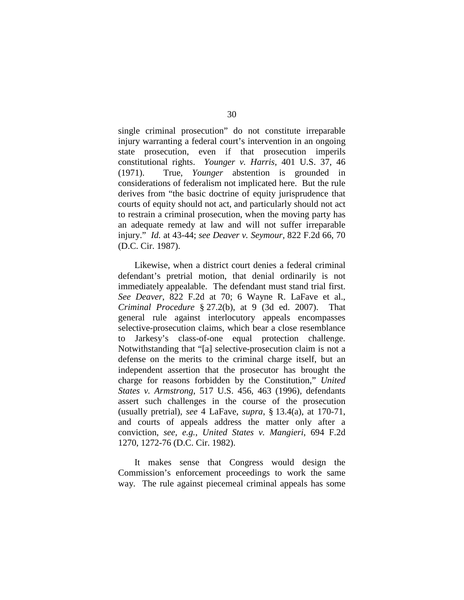single criminal prosecution" do not constitute irreparable injury warranting a federal court's intervention in an ongoing state prosecution, even if that prosecution imperils constitutional rights. *Younger v. Harris*, 401 U.S. 37, 46 (1971). True, *Younger* abstention is grounded in considerations of federalism not implicated here. But the rule derives from "the basic doctrine of equity jurisprudence that courts of equity should not act, and particularly should not act to restrain a criminal prosecution, when the moving party has an adequate remedy at law and will not suffer irreparable injury." *Id.* at 43-44; *see Deaver v. Seymour*, 822 F.2d 66, 70 (D.C. Cir. 1987).

Likewise, when a district court denies a federal criminal defendant's pretrial motion, that denial ordinarily is not immediately appealable. The defendant must stand trial first. *See Deaver*, 822 F.2d at 70; 6 Wayne R. LaFave et al., *Criminal Procedure* § 27.2(b), at 9 (3d ed. 2007). That general rule against interlocutory appeals encompasses selective-prosecution claims, which bear a close resemblance to Jarkesy's class-of-one equal protection challenge. Notwithstanding that "[a] selective-prosecution claim is not a defense on the merits to the criminal charge itself, but an independent assertion that the prosecutor has brought the charge for reasons forbidden by the Constitution," *United States v. Armstrong*, 517 U.S. 456, 463 (1996), defendants assert such challenges in the course of the prosecution (usually pretrial), *see* 4 LaFave, *supra*, § 13.4(a), at 170-71, and courts of appeals address the matter only after a conviction, *see, e.g.*, *United States v. Mangieri*, 694 F.2d 1270, 1272-76 (D.C. Cir. 1982).

It makes sense that Congress would design the Commission's enforcement proceedings to work the same way. The rule against piecemeal criminal appeals has some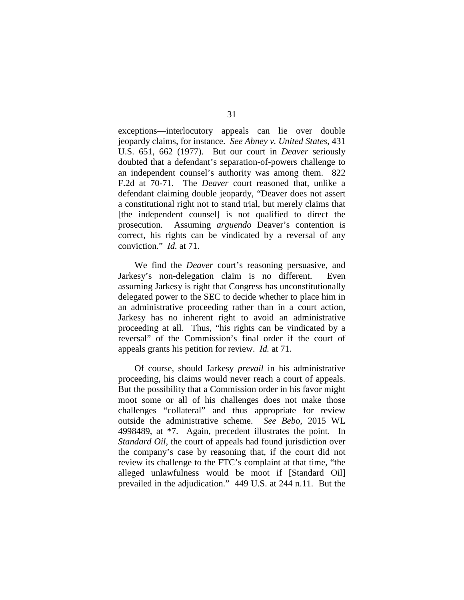exceptions—interlocutory appeals can lie over double jeopardy claims, for instance. *See Abney v. United States*, 431 U.S. 651, 662 (1977). But our court in *Deaver* seriously doubted that a defendant's separation-of-powers challenge to an independent counsel's authority was among them. 822 F.2d at 70-71. The *Deaver* court reasoned that, unlike a defendant claiming double jeopardy, "Deaver does not assert a constitutional right not to stand trial, but merely claims that [the independent counsel] is not qualified to direct the prosecution. Assuming *arguendo* Deaver's contention is correct, his rights can be vindicated by a reversal of any conviction." *Id.* at 71.

We find the *Deaver* court's reasoning persuasive, and Jarkesy's non-delegation claim is no different. Even assuming Jarkesy is right that Congress has unconstitutionally delegated power to the SEC to decide whether to place him in an administrative proceeding rather than in a court action, Jarkesy has no inherent right to avoid an administrative proceeding at all. Thus, "his rights can be vindicated by a reversal" of the Commission's final order if the court of appeals grants his petition for review. *Id.* at 71.

Of course, should Jarkesy *prevail* in his administrative proceeding, his claims would never reach a court of appeals. But the possibility that a Commission order in his favor might moot some or all of his challenges does not make those challenges "collateral" and thus appropriate for review outside the administrative scheme. *See Bebo*, 2015 WL 4998489, at \*7.Again, precedent illustrates the point. In *Standard Oil*, the court of appeals had found jurisdiction over the company's case by reasoning that, if the court did not review its challenge to the FTC's complaint at that time, "the alleged unlawfulness would be moot if [Standard Oil] prevailed in the adjudication." 449 U.S. at 244 n.11. But the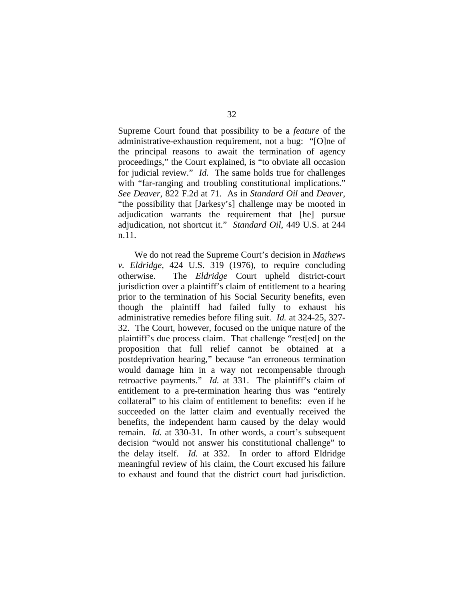Supreme Court found that possibility to be a *feature* of the administrative-exhaustion requirement, not a bug: "[O]ne of the principal reasons to await the termination of agency proceedings," the Court explained, is "to obviate all occasion for judicial review." *Id.* The same holds true for challenges with "far-ranging and troubling constitutional implications." *See Deaver*, 822 F.2d at 71. As in *Standard Oil* and *Deaver*, "the possibility that [Jarkesy's] challenge may be mooted in adjudication warrants the requirement that [he] pursue adjudication, not shortcut it." *Standard Oil*, 449 U.S. at 244 n.11.

We do not read the Supreme Court's decision in *Mathews v. Eldridge*, 424 U.S. 319 (1976), to require concluding otherwise. The *Eldridge* Court upheld district-court jurisdiction over a plaintiff's claim of entitlement to a hearing prior to the termination of his Social Security benefits, even though the plaintiff had failed fully to exhaust his administrative remedies before filing suit. *Id.* at 324-25, 327- 32. The Court, however, focused on the unique nature of the plaintiff's due process claim. That challenge "rest[ed] on the proposition that full relief cannot be obtained at a postdeprivation hearing," because "an erroneous termination would damage him in a way not recompensable through retroactive payments." *Id.* at 331. The plaintiff's claim of entitlement to a pre-termination hearing thus was "entirely collateral" to his claim of entitlement to benefits: even if he succeeded on the latter claim and eventually received the benefits, the independent harm caused by the delay would remain. *Id.* at 330-31. In other words, a court's subsequent decision "would not answer his constitutional challenge" to the delay itself. *Id.* at 332. In order to afford Eldridge meaningful review of his claim, the Court excused his failure to exhaust and found that the district court had jurisdiction.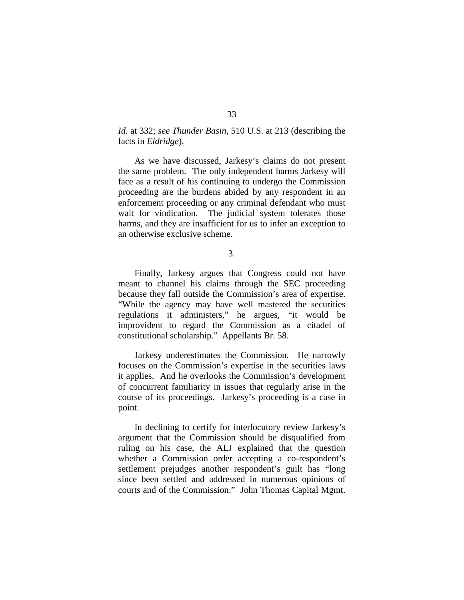## *Id.* at 332; *see Thunder Basin*, 510 U.S. at 213 (describing the facts in *Eldridge*).

As we have discussed, Jarkesy's claims do not present the same problem. The only independent harms Jarkesy will face as a result of his continuing to undergo the Commission proceeding are the burdens abided by any respondent in an enforcement proceeding or any criminal defendant who must wait for vindication. The judicial system tolerates those harms, and they are insufficient for us to infer an exception to an otherwise exclusive scheme.

3.

Finally, Jarkesy argues that Congress could not have meant to channel his claims through the SEC proceeding because they fall outside the Commission's area of expertise. "While the agency may have well mastered the securities regulations it administers," he argues, "it would be improvident to regard the Commission as a citadel of constitutional scholarship." Appellants Br. 58.

Jarkesy underestimates the Commission. He narrowly focuses on the Commission's expertise in the securities laws it applies. And he overlooks the Commission's development of concurrent familiarity in issues that regularly arise in the course of its proceedings. Jarkesy's proceeding is a case in point.

In declining to certify for interlocutory review Jarkesy's argument that the Commission should be disqualified from ruling on his case, the ALJ explained that the question whether a Commission order accepting a co-respondent's settlement prejudges another respondent's guilt has "long since been settled and addressed in numerous opinions of courts and of the Commission." John Thomas Capital Mgmt.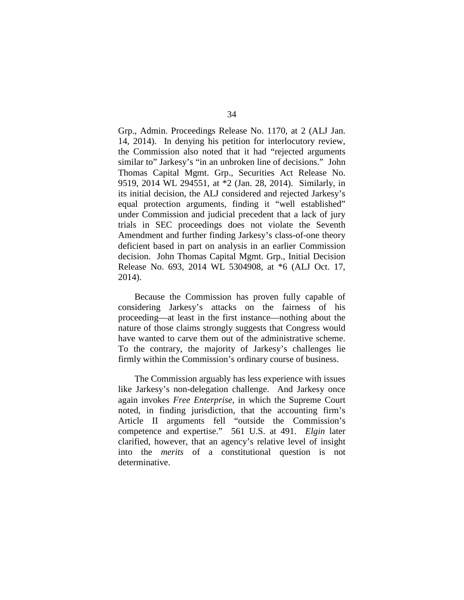Grp., Admin. Proceedings Release No. 1170, at 2 (ALJ Jan. 14, 2014). In denying his petition for interlocutory review, the Commission also noted that it had "rejected arguments similar to" Jarkesy's "in an unbroken line of decisions." John Thomas Capital Mgmt. Grp., Securities Act Release No. 9519, 2014 WL 294551, at \*2 (Jan. 28, 2014). Similarly, in its initial decision, the ALJ considered and rejected Jarkesy's equal protection arguments, finding it "well established" under Commission and judicial precedent that a lack of jury trials in SEC proceedings does not violate the Seventh Amendment and further finding Jarkesy's class-of-one theory deficient based in part on analysis in an earlier Commission decision. John Thomas Capital Mgmt. Grp., Initial Decision Release No. 693, 2014 WL 5304908, at \*6 (ALJ Oct. 17, 2014).

Because the Commission has proven fully capable of considering Jarkesy's attacks on the fairness of his proceeding—at least in the first instance—nothing about the nature of those claims strongly suggests that Congress would have wanted to carve them out of the administrative scheme. To the contrary, the majority of Jarkesy's challenges lie firmly within the Commission's ordinary course of business.

The Commission arguably has less experience with issues like Jarkesy's non-delegation challenge. And Jarkesy once again invokes *Free Enterprise*, in which the Supreme Court noted, in finding jurisdiction, that the accounting firm's Article II arguments fell "outside the Commission's competence and expertise." 561 U.S. at 491. *Elgin* later clarified, however, that an agency's relative level of insight into the *merits* of a constitutional question is not determinative.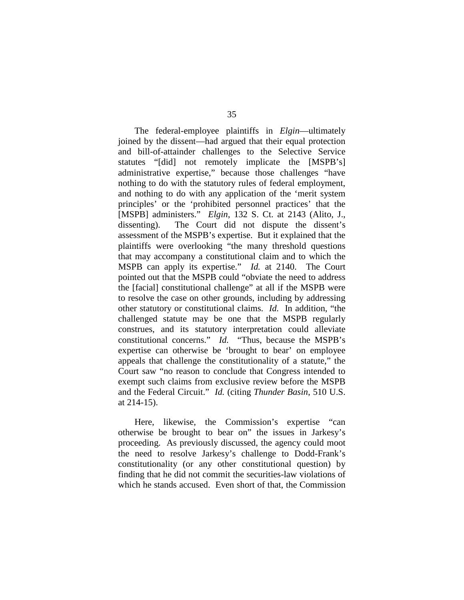The federal-employee plaintiffs in *Elgin*—ultimately joined by the dissent—had argued that their equal protection and bill-of-attainder challenges to the Selective Service statutes "[did] not remotely implicate the [MSPB's] administrative expertise," because those challenges "have nothing to do with the statutory rules of federal employment, and nothing to do with any application of the 'merit system principles' or the 'prohibited personnel practices' that the [MSPB] administers." *Elgin*, 132 S. Ct. at 2143 (Alito, J., dissenting). The Court did not dispute the dissent's assessment of the MSPB's expertise. But it explained that the plaintiffs were overlooking "the many threshold questions that may accompany a constitutional claim and to which the MSPB can apply its expertise." *Id.* at 2140. The Court pointed out that the MSPB could "obviate the need to address the [facial] constitutional challenge" at all if the MSPB were to resolve the case on other grounds, including by addressing other statutory or constitutional claims. *Id.* In addition, "the challenged statute may be one that the MSPB regularly construes, and its statutory interpretation could alleviate constitutional concerns." *Id.* "Thus, because the MSPB's expertise can otherwise be 'brought to bear' on employee appeals that challenge the constitutionality of a statute," the Court saw "no reason to conclude that Congress intended to exempt such claims from exclusive review before the MSPB and the Federal Circuit." *Id.* (citing *Thunder Basin*, 510 U.S. at 214-15).

Here, likewise, the Commission's expertise "can otherwise be brought to bear on" the issues in Jarkesy's proceeding. As previously discussed, the agency could moot the need to resolve Jarkesy's challenge to Dodd-Frank's constitutionality (or any other constitutional question) by finding that he did not commit the securities-law violations of which he stands accused. Even short of that, the Commission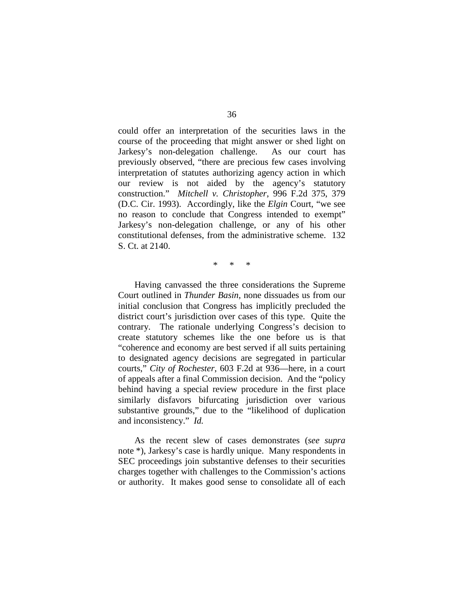could offer an interpretation of the securities laws in the course of the proceeding that might answer or shed light on Jarkesy's non-delegation challenge. As our court has previously observed, "there are precious few cases involving interpretation of statutes authorizing agency action in which our review is not aided by the agency's statutory construction." *Mitchell v. Christopher*, 996 F.2d 375, 379 (D.C. Cir. 1993). Accordingly, like the *Elgin* Court, "we see no reason to conclude that Congress intended to exempt" Jarkesy's non-delegation challenge, or any of his other constitutional defenses, from the administrative scheme. 132 S. Ct. at 2140.

\* \* \*

Having canvassed the three considerations the Supreme Court outlined in *Thunder Basin*, none dissuades us from our initial conclusion that Congress has implicitly precluded the district court's jurisdiction over cases of this type. Quite the contrary. The rationale underlying Congress's decision to create statutory schemes like the one before us is that "coherence and economy are best served if all suits pertaining to designated agency decisions are segregated in particular courts," *City of Rochester*, 603 F.2d at 936—here, in a court of appeals after a final Commission decision. And the "policy behind having a special review procedure in the first place similarly disfavors bifurcating jurisdiction over various substantive grounds," due to the "likelihood of duplication and inconsistency." *Id.* 

As the recent slew of cases demonstrates (*see supra*  note \*), Jarkesy's case is hardly unique. Many respondents in SEC proceedings join substantive defenses to their securities charges together with challenges to the Commission's actions or authority. It makes good sense to consolidate all of each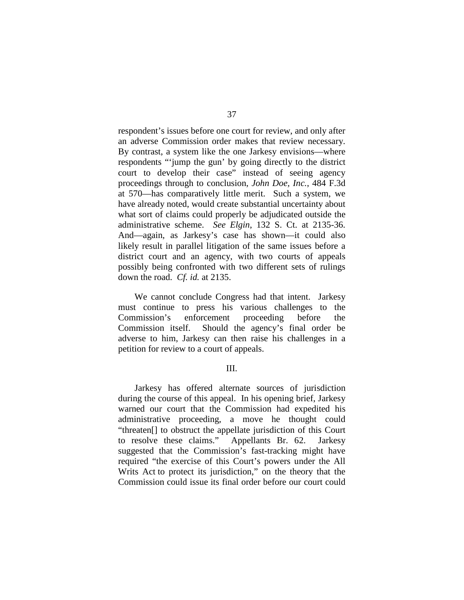respondent's issues before one court for review, and only after an adverse Commission order makes that review necessary. By contrast, a system like the one Jarkesy envisions—where respondents "'jump the gun' by going directly to the district court to develop their case" instead of seeing agency proceedings through to conclusion, *John Doe, Inc.*, 484 F.3d at 570—has comparatively little merit. Such a system, we have already noted, would create substantial uncertainty about what sort of claims could properly be adjudicated outside the administrative scheme. *See Elgin*, 132 S. Ct. at 2135-36. And—again, as Jarkesy's case has shown—it could also likely result in parallel litigation of the same issues before a district court and an agency, with two courts of appeals possibly being confronted with two different sets of rulings down the road. *Cf. id.* at 2135.

We cannot conclude Congress had that intent. Jarkesy must continue to press his various challenges to the Commission's enforcement proceeding before the Commission itself. Should the agency's final order be adverse to him, Jarkesy can then raise his challenges in a petition for review to a court of appeals.

## III.

Jarkesy has offered alternate sources of jurisdiction during the course of this appeal. In his opening brief, Jarkesy warned our court that the Commission had expedited his administrative proceeding, a move he thought could "threaten[] to obstruct the appellate jurisdiction of this Court to resolve these claims." Appellants Br. 62. Jarkesy suggested that the Commission's fast-tracking might have required "the exercise of this Court's powers under the All Writs Act to protect its jurisdiction," on the theory that the Commission could issue its final order before our court could